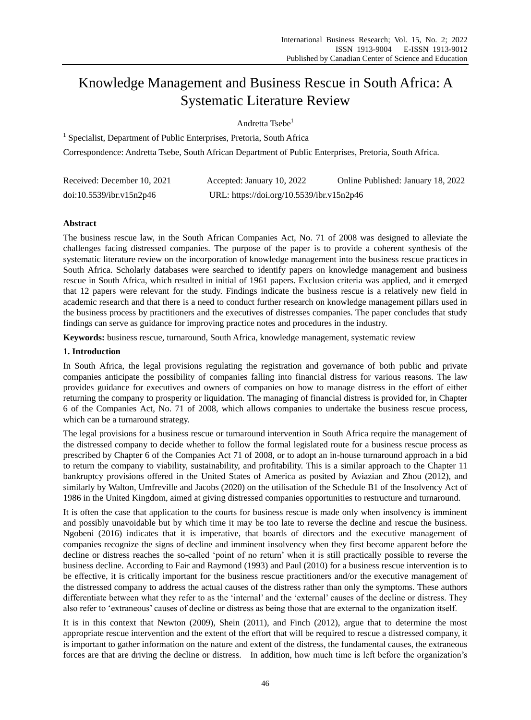# Knowledge Management and Business Rescue in South Africa: A Systematic Literature Review

# Andretta Tsebe<sup>1</sup>

<sup>1</sup> Specialist, Department of Public Enterprises, Pretoria, South Africa

Correspondence: Andretta Tsebe, South African Department of Public Enterprises, Pretoria, South Africa.

| Received: December 10, 2021 | Accepted: January 10, 2022                | Online Published: January 18, 2022 |
|-----------------------------|-------------------------------------------|------------------------------------|
| doi:10.5539/ibr.v15n2p46    | URL: https://doi.org/10.5539/ibr.v15n2p46 |                                    |

# **Abstract**

The business rescue law, in the South African Companies Act, No. 71 of 2008 was designed to alleviate the challenges facing distressed companies. The purpose of the paper is to provide a coherent synthesis of the systematic literature review on the incorporation of knowledge management into the business rescue practices in South Africa. Scholarly databases were searched to identify papers on knowledge management and business rescue in South Africa, which resulted in initial of 1961 papers. Exclusion criteria was applied, and it emerged that 12 papers were relevant for the study. Findings indicate the business rescue is a relatively new field in academic research and that there is a need to conduct further research on knowledge management pillars used in the business process by practitioners and the executives of distresses companies. The paper concludes that study findings can serve as guidance for improving practice notes and procedures in the industry.

**Keywords:** business rescue, turnaround, South Africa, knowledge management, systematic review

## **1. Introduction**

In South Africa, the legal provisions regulating the registration and governance of both public and private companies anticipate the possibility of companies falling into financial distress for various reasons. The law provides guidance for executives and owners of companies on how to manage distress in the effort of either returning the company to prosperity or liquidation. The managing of financial distress is provided for, in Chapter 6 of the Companies Act, No. 71 of 2008, which allows companies to undertake the business rescue process, which can be a turnaround strategy.

The legal provisions for a business rescue or turnaround intervention in South Africa require the management of the distressed company to decide whether to follow the formal legislated route for a business rescue process as prescribed by Chapter 6 of the Companies Act 71 of 2008, or to adopt an in-house turnaround approach in a bid to return the company to viability, sustainability, and profitability. This is a similar approach to the Chapter 11 bankruptcy provisions offered in the United States of America as posited by Aviazian and Zhou (2012), and similarly by Walton, Umfreville and Jacobs (2020) on the utilisation of the Schedule B1 of the Insolvency Act of 1986 in the United Kingdom, aimed at giving distressed companies opportunities to restructure and turnaround.

It is often the case that application to the courts for business rescue is made only when insolvency is imminent and possibly unavoidable but by which time it may be too late to reverse the decline and rescue the business. Ngobeni (2016) indicates that it is imperative, that boards of directors and the executive management of companies recognize the signs of decline and imminent insolvency when they first become apparent before the decline or distress reaches the so-called "point of no return" when it is still practically possible to reverse the business decline. According to Fair and Raymond (1993) and Paul (2010) for a business rescue intervention is to be effective, it is critically important for the business rescue practitioners and/or the executive management of the distressed company to address the actual causes of the distress rather than only the symptoms. These authors differentiate between what they refer to as the 'internal' and the 'external' causes of the decline or distress. They also refer to "extraneous" causes of decline or distress as being those that are external to the organization itself.

It is in this context that Newton (2009), Shein (2011), and Finch (2012), argue that to determine the most appropriate rescue intervention and the extent of the effort that will be required to rescue a distressed company, it is important to gather information on the nature and extent of the distress, the fundamental causes, the extraneous forces are that are driving the decline or distress. In addition, how much time is left before the organization"s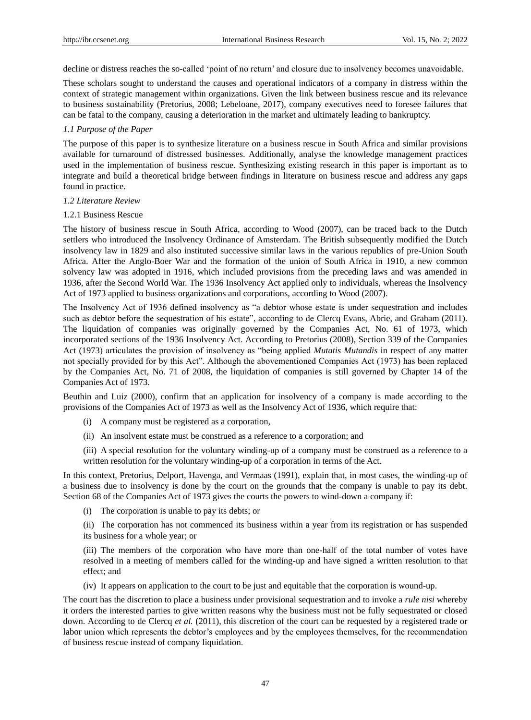decline or distress reaches the so-called "point of no return" and closure due to insolvency becomes unavoidable.

These scholars sought to understand the causes and operational indicators of a company in distress within the context of strategic management within organizations. Given the link between business rescue and its relevance to business sustainability (Pretorius, 2008; Lebeloane, 2017), company executives need to foresee failures that can be fatal to the company, causing a deterioration in the market and ultimately leading to bankruptcy.

## *1.1 Purpose of the Paper*

The purpose of this paper is to synthesize literature on a business rescue in South Africa and similar provisions available for turnaround of distressed businesses. Additionally, analyse the knowledge management practices used in the implementation of business rescue. Synthesizing existing research in this paper is important as to integrate and build a theoretical bridge between findings in literature on business rescue and address any gaps found in practice.

### *1.2 Literature Review*

### 1.2.1 Business Rescue

The history of business rescue in South Africa, according to Wood (2007), can be traced back to the Dutch settlers who introduced the Insolvency Ordinance of Amsterdam. The British subsequently modified the Dutch insolvency law in 1829 and also instituted successive similar laws in the various republics of pre-Union South Africa. After the Anglo-Boer War and the formation of the union of South Africa in 1910, a new common solvency law was adopted in 1916, which included provisions from the preceding laws and was amended in 1936, after the Second World War. The 1936 Insolvency Act applied only to individuals, whereas the Insolvency Act of 1973 applied to business organizations and corporations, according to Wood (2007).

The Insolvency Act of 1936 defined insolvency as "a debtor whose estate is under sequestration and includes such as debtor before the sequestration of his estate", according to de Clercq Evans, Abrie, and Graham (2011). The liquidation of companies was originally governed by the Companies Act, No. 61 of 1973, which incorporated sections of the 1936 Insolvency Act. According to Pretorius (2008), Section 339 of the Companies Act (1973) articulates the provision of insolvency as "being applied *Mutatis Mutandis* in respect of any matter not specially provided for by this Act". Although the abovementioned Companies Act (1973) has been replaced by the Companies Act, No. 71 of 2008, the liquidation of companies is still governed by Chapter 14 of the Companies Act of 1973.

Beuthin and Luiz (2000), confirm that an application for insolvency of a company is made according to the provisions of the Companies Act of 1973 as well as the Insolvency Act of 1936, which require that:

- (i) A company must be registered as a corporation,
- (ii) An insolvent estate must be construed as a reference to a corporation; and
- (iii) A special resolution for the voluntary winding-up of a company must be construed as a reference to a written resolution for the voluntary winding-up of a corporation in terms of the Act.

In this context, Pretorius, Delport, Havenga, and Vermaas (1991), explain that, in most cases, the winding-up of a business due to insolvency is done by the court on the grounds that the company is unable to pay its debt. Section 68 of the Companies Act of 1973 gives the courts the powers to wind-down a company if:

(i) The corporation is unable to pay its debts; or

(ii) The corporation has not commenced its business within a year from its registration or has suspended its business for a whole year; or

(iii) The members of the corporation who have more than one-half of the total number of votes have resolved in a meeting of members called for the winding-up and have signed a written resolution to that effect; and

(iv) It appears on application to the court to be just and equitable that the corporation is wound-up.

The court has the discretion to place a business under provisional sequestration and to invoke a *rule nisi* whereby it orders the interested parties to give written reasons why the business must not be fully sequestrated or closed down. According to de Clercq *et al.* (2011), this discretion of the court can be requested by a registered trade or labor union which represents the debtor's employees and by the employees themselves, for the recommendation of business rescue instead of company liquidation.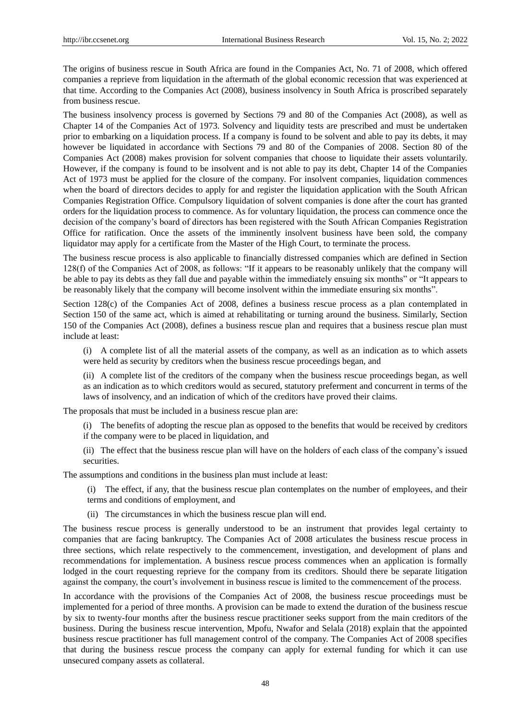The origins of business rescue in South Africa are found in the Companies Act, No. 71 of 2008, which offered companies a reprieve from liquidation in the aftermath of the global economic recession that was experienced at that time. According to the Companies Act (2008), business insolvency in South Africa is proscribed separately from business rescue.

The business insolvency process is governed by Sections 79 and 80 of the Companies Act (2008), as well as Chapter 14 of the Companies Act of 1973. Solvency and liquidity tests are prescribed and must be undertaken prior to embarking on a liquidation process. If a company is found to be solvent and able to pay its debts, it may however be liquidated in accordance with Sections 79 and 80 of the Companies of 2008. Section 80 of the Companies Act (2008) makes provision for solvent companies that choose to liquidate their assets voluntarily. However, if the company is found to be insolvent and is not able to pay its debt, Chapter 14 of the Companies Act of 1973 must be applied for the closure of the company. For insolvent companies, liquidation commences when the board of directors decides to apply for and register the liquidation application with the South African Companies Registration Office. Compulsory liquidation of solvent companies is done after the court has granted orders for the liquidation process to commence. As for voluntary liquidation, the process can commence once the decision of the company"s board of directors has been registered with the South African Companies Registration Office for ratification. Once the assets of the imminently insolvent business have been sold, the company liquidator may apply for a certificate from the Master of the High Court, to terminate the process.

The business rescue process is also applicable to financially distressed companies which are defined in Section 128(f) of the Companies Act of 2008, as follows: "If it appears to be reasonably unlikely that the company will be able to pay its debts as they fall due and payable within the immediately ensuing six months" or "It appears to be reasonably likely that the company will become insolvent within the immediate ensuring six months".

Section 128(c) of the Companies Act of 2008, defines a business rescue process as a plan contemplated in Section 150 of the same act, which is aimed at rehabilitating or turning around the business. Similarly, Section 150 of the Companies Act (2008), defines a business rescue plan and requires that a business rescue plan must include at least:

(i) A complete list of all the material assets of the company, as well as an indication as to which assets were held as security by creditors when the business rescue proceedings began, and

(ii) A complete list of the creditors of the company when the business rescue proceedings began, as well as an indication as to which creditors would as secured, statutory preferment and concurrent in terms of the laws of insolvency, and an indication of which of the creditors have proved their claims.

The proposals that must be included in a business rescue plan are:

(i) The benefits of adopting the rescue plan as opposed to the benefits that would be received by creditors if the company were to be placed in liquidation, and

(ii) The effect that the business rescue plan will have on the holders of each class of the company"s issued securities.

The assumptions and conditions in the business plan must include at least:

(i) The effect, if any, that the business rescue plan contemplates on the number of employees, and their terms and conditions of employment, and

(ii) The circumstances in which the business rescue plan will end.

The business rescue process is generally understood to be an instrument that provides legal certainty to companies that are facing bankruptcy. The Companies Act of 2008 articulates the business rescue process in three sections, which relate respectively to the commencement, investigation, and development of plans and recommendations for implementation. A business rescue process commences when an application is formally lodged in the court requesting reprieve for the company from its creditors. Should there be separate litigation against the company, the court's involvement in business rescue is limited to the commencement of the process.

In accordance with the provisions of the Companies Act of 2008, the business rescue proceedings must be implemented for a period of three months. A provision can be made to extend the duration of the business rescue by six to twenty-four months after the business rescue practitioner seeks support from the main creditors of the business. During the business rescue intervention, Mpofu, Nwafor and Selala (2018) explain that the appointed business rescue practitioner has full management control of the company. The Companies Act of 2008 specifies that during the business rescue process the company can apply for external funding for which it can use unsecured company assets as collateral.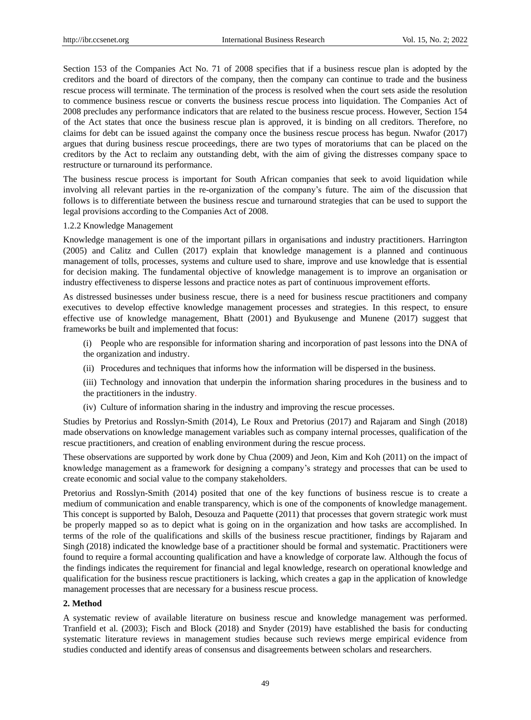Section 153 of the Companies Act No. 71 of 2008 specifies that if a business rescue plan is adopted by the creditors and the board of directors of the company, then the company can continue to trade and the business rescue process will terminate. The termination of the process is resolved when the court sets aside the resolution to commence business rescue or converts the business rescue process into liquidation. The Companies Act of 2008 precludes any performance indicators that are related to the business rescue process. However, Section 154 of the Act states that once the business rescue plan is approved, it is binding on all creditors. Therefore, no claims for debt can be issued against the company once the business rescue process has begun. Nwafor (2017) argues that during business rescue proceedings, there are two types of moratoriums that can be placed on the creditors by the Act to reclaim any outstanding debt, with the aim of giving the distresses company space to restructure or turnaround its performance.

The business rescue process is important for South African companies that seek to avoid liquidation while involving all relevant parties in the re-organization of the company"s future. The aim of the discussion that follows is to differentiate between the business rescue and turnaround strategies that can be used to support the legal provisions according to the Companies Act of 2008.

## 1.2.2 Knowledge Management

Knowledge management is one of the important pillars in organisations and industry practitioners. Harrington (2005) and Calitz and Cullen (2017) explain that knowledge management is a planned and continuous management of tolls, processes, systems and culture used to share, improve and use knowledge that is essential for decision making. The fundamental objective of knowledge management is to improve an organisation or industry effectiveness to disperse lessons and practice notes as part of continuous improvement efforts.

As distressed businesses under business rescue, there is a need for business rescue practitioners and company executives to develop effective knowledge management processes and strategies. In this respect, to ensure effective use of knowledge management, Bhatt (2001) and Byukusenge and Munene (2017) suggest that frameworks be built and implemented that focus:

- (i) People who are responsible for information sharing and incorporation of past lessons into the DNA of the organization and industry.
- (ii) Procedures and techniques that informs how the information will be dispersed in the business.
- (iii) Technology and innovation that underpin the information sharing procedures in the business and to the practitioners in the industry.
- (iv) Culture of information sharing in the industry and improving the rescue processes.

Studies by Pretorius and Rosslyn-Smith (2014), Le Roux and Pretorius (2017) and Rajaram and Singh (2018) made observations on knowledge management variables such as company internal processes, qualification of the rescue practitioners, and creation of enabling environment during the rescue process.

These observations are supported by work done by Chua (2009) and Jeon, Kim and Koh (2011) on the impact of knowledge management as a framework for designing a company"s strategy and processes that can be used to create economic and social value to the company stakeholders.

Pretorius and Rosslyn-Smith (2014) posited that one of the key functions of business rescue is to create a medium of communication and enable transparency, which is one of the components of knowledge management. This concept is supported by Baloh, Desouza and Paquette (2011) that processes that govern strategic work must be properly mapped so as to depict what is going on in the organization and how tasks are accomplished. In terms of the role of the qualifications and skills of the business rescue practitioner, findings by Rajaram and Singh (2018) indicated the knowledge base of a practitioner should be formal and systematic. Practitioners were found to require a formal accounting qualification and have a knowledge of corporate law. Although the focus of the findings indicates the requirement for financial and legal knowledge, research on operational knowledge and qualification for the business rescue practitioners is lacking, which creates a gap in the application of knowledge management processes that are necessary for a business rescue process.

## **2. Method**

A systematic review of available literature on business rescue and knowledge management was performed. Tranfield et al. (2003); Fisch and Block (2018) and Snyder (2019) have established the basis for conducting systematic literature reviews in management studies because such reviews merge empirical evidence from studies conducted and identify areas of consensus and disagreements between scholars and researchers.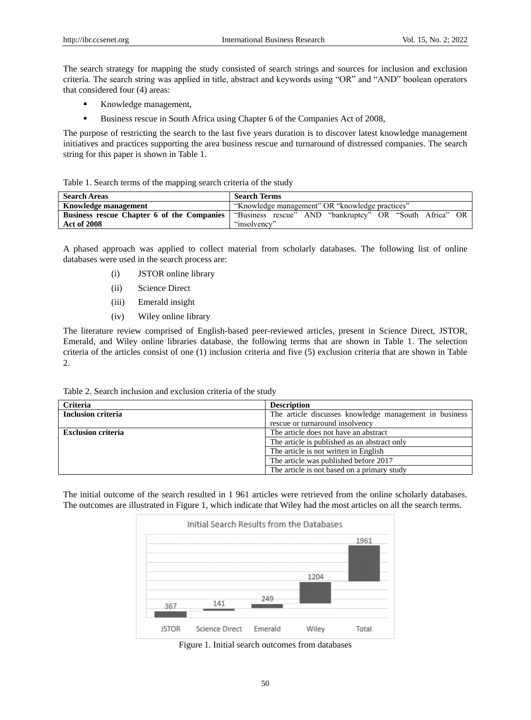The search strategy for mapping the study consisted of search strings and sources for inclusion and exclusion criteria. The search string was applied in title, abstract and keywords using "OR" and "AND" boolean operators that considered four (4) areas:

- Knowledge management,
- Business rescue in South Africa using Chapter 6 of the Companies Act of 2008,

The purpose of restricting the search to the last five years duration is to discover latest knowledge management initiatives and practices supporting the area business rescue and turnaround of distressed companies. The search string for this paper is shown in Table 1.

| Table 1. Search terms of the mapping search criteria of the study |
|-------------------------------------------------------------------|
|-------------------------------------------------------------------|

| <b>Search Areas</b>  | <b>Search Terms</b>                                                                                         |  |  |  |  |
|----------------------|-------------------------------------------------------------------------------------------------------------|--|--|--|--|
| Knowledge management | "Knowledge management" OR "knowledge practices"                                                             |  |  |  |  |
|                      | <b>Business rescue Chapter 6 of the Companies</b>   "Business rescue" AND "bankruptcy" OR "South Africa" OR |  |  |  |  |
| <b>Act of 2008</b>   | "insolvency"                                                                                                |  |  |  |  |

A phased approach was applied to collect material from scholarly databases. The following list of online databases were used in the search process are:

- (i) JSTOR online library
- (ii) Science Direct
- (iii) Emerald insight
- (iv) Wiley online library

The literature review comprised of English-based peer-reviewed articles, present in Science Direct, JSTOR, Emerald, and Wiley online libraries database, the following terms that are shown in Table 1. The selection criteria of the articles consist of one (1) inclusion criteria and five (5) exclusion criteria that are shown in Table 2.

Table 2. Search inclusion and exclusion criteria of the study

| <b>Criteria</b>           | <b>Description</b>                                     |
|---------------------------|--------------------------------------------------------|
| Inclusion criteria        | The article discusses knowledge management in business |
|                           | rescue or turnaround insolvency                        |
| <b>Exclusion criteria</b> | The article does not have an abstract                  |
|                           | The article is published as an abstract only           |
|                           | The article is not written in English                  |
|                           | The article was published before 2017                  |
|                           | The article is not based on a primary study            |

The initial outcome of the search resulted in 1 961 articles were retrieved from the online scholarly databases. The outcomes are illustrated in Figure 1, which indicate that Wiley had the most articles on all the search terms.



Figure 1. Initial search outcomes from databases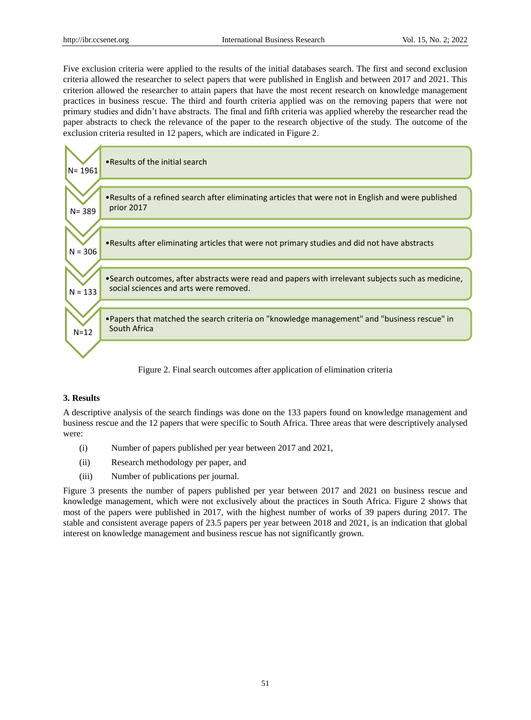Five exclusion criteria were applied to the results of the initial databases search. The first and second exclusion criteria allowed the researcher to select papers that were published in English and between 2017 and 2021. This criterion allowed the researcher to attain papers that have the most recent research on knowledge management practices in business rescue. The third and fourth criteria applied was on the removing papers that were not primary studies and didn"t have abstracts. The final and fifth criteria was applied whereby the researcher read the paper abstracts to check the relevance of the paper to the research objective of the study. The outcome of the exclusion criteria resulted in 12 papers, which are indicated in Figure 2.



Figure 2. Final search outcomes after application of elimination criteria

# **3. Results**

A descriptive analysis of the search findings was done on the 133 papers found on knowledge management and business rescue and the 12 papers that were specific to South Africa. Three areas that were descriptively analysed were:

- (i) Number of papers published per year between 2017 and 2021,
- (ii) Research methodology per paper, and
- (iii) Number of publications per journal.

Figure 3 presents the number of papers published per year between 2017 and 2021 on business rescue and knowledge management, which were not exclusively about the practices in South Africa. Figure 2 shows that most of the papers were published in 2017, with the highest number of works of 39 papers during 2017. The stable and consistent average papers of 23.5 papers per year between 2018 and 2021, is an indication that global interest on knowledge management and business rescue has not significantly grown.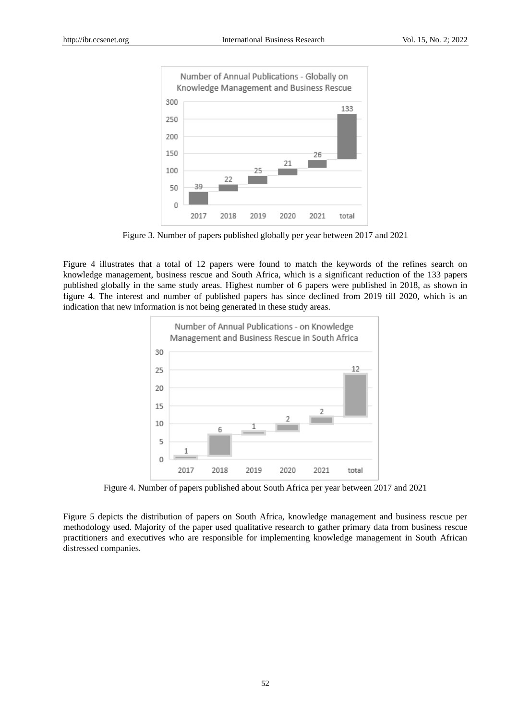

Figure 3. Number of papers published globally per year between 2017 and 2021

Figure 4 illustrates that a total of 12 papers were found to match the keywords of the refines search on knowledge management, business rescue and South Africa, which is a significant reduction of the 133 papers published globally in the same study areas. Highest number of 6 papers were published in 2018, as shown in figure 4. The interest and number of published papers has since declined from 2019 till 2020, which is an indication that new information is not being generated in these study areas.



Figure 4. Number of papers published about South Africa per year between 2017 and 2021

Figure 5 depicts the distribution of papers on South Africa, knowledge management and business rescue per methodology used. Majority of the paper used qualitative research to gather primary data from business rescue practitioners and executives who are responsible for implementing knowledge management in South African distressed companies.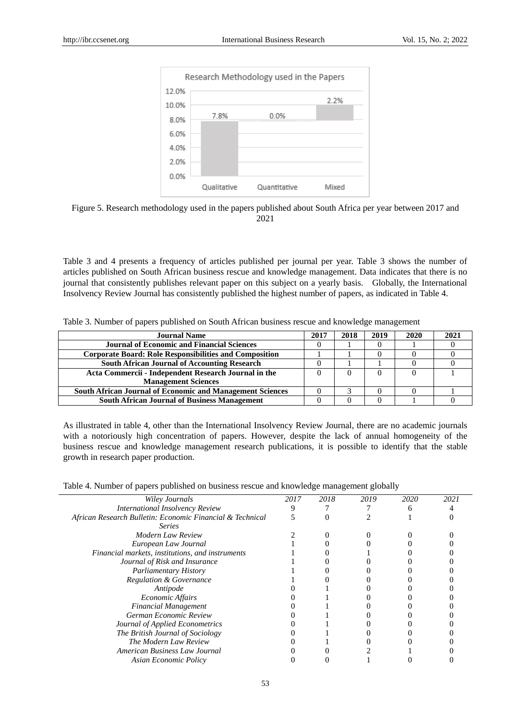

Figure 5. Research methodology used in the papers published about South Africa per year between 2017 and 2021

Table 3 and 4 presents a frequency of articles published per journal per year. Table 3 shows the number of articles published on South African business rescue and knowledge management. Data indicates that there is no journal that consistently publishes relevant paper on this subject on a yearly basis. Globally, the International Insolvency Review Journal has consistently published the highest number of papers, as indicated in Table 4.

|  |  |  |  |  | Table 3. Number of papers published on South African business rescue and knowledge management |
|--|--|--|--|--|-----------------------------------------------------------------------------------------------|
|  |  |  |  |  |                                                                                               |

| <b>Journal Name</b>                                              | 2017 | 2018 | 2019 | 2020 |  |
|------------------------------------------------------------------|------|------|------|------|--|
| <b>Journal of Economic and Financial Sciences</b>                |      |      |      |      |  |
| <b>Corporate Board: Role Responsibilities and Composition</b>    |      |      |      |      |  |
| <b>South African Journal of Accounting Research</b>              |      |      |      |      |  |
| Acta Commercii - Independent Research Journal in the             |      |      |      |      |  |
| <b>Management Sciences</b>                                       |      |      |      |      |  |
| <b>South African Journal of Economic and Management Sciences</b> |      |      |      |      |  |
| <b>South African Journal of Business Management</b>              |      |      |      |      |  |

As illustrated in table 4, other than the International Insolvency Review Journal, there are no academic journals with a notoriously high concentration of papers. However, despite the lack of annual homogeneity of the business rescue and knowledge management research publications, it is possible to identify that the stable growth in research paper production.

| Table 4. Number of papers published on business rescue and knowledge management globally |  |  |  |  |
|------------------------------------------------------------------------------------------|--|--|--|--|
|                                                                                          |  |  |  |  |

| 2017 | 2018 | 2019 | 2020 | 2021 |  |
|------|------|------|------|------|--|
|      |      |      |      |      |  |
|      |      |      |      |      |  |
|      |      |      |      |      |  |
|      |      |      |      |      |  |
|      |      |      |      |      |  |
|      |      |      |      |      |  |
|      |      |      |      |      |  |
|      |      |      |      |      |  |
|      |      |      |      |      |  |
|      |      |      |      |      |  |
|      |      |      |      |      |  |
|      |      |      |      |      |  |
|      |      |      |      |      |  |
|      |      |      |      |      |  |
|      |      |      |      |      |  |
|      |      |      |      |      |  |
|      |      |      |      |      |  |
|      |      |      |      |      |  |
|      |      |      |      |      |  |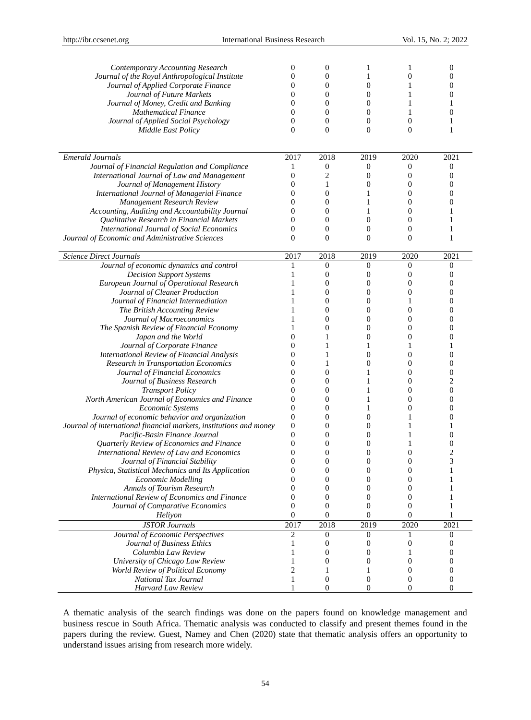| Contemporary Accounting Research                                           | 0                   | 0                | 1                   | 1                    | 0                |
|----------------------------------------------------------------------------|---------------------|------------------|---------------------|----------------------|------------------|
| Journal of the Royal Anthropological Institute                             | 0                   | 0                | 1                   | $\theta$             | 0                |
| Journal of Applied Corporate Finance                                       | 0                   | 0                | $\boldsymbol{0}$    | 1                    | 0                |
| Journal of Future Markets                                                  | 0                   | 0                | $\boldsymbol{0}$    | 1                    | 0                |
| Journal of Money, Credit and Banking                                       | 0                   | 0                | $\mathbf{0}$        | 1                    |                  |
| <b>Mathematical Finance</b>                                                | 0                   | $\mathbf{0}$     | $\boldsymbol{0}$    | 1                    | 0                |
| Journal of Applied Social Psychology                                       | $\overline{0}$      | $\mathbf{0}$     | $\mathbf{0}$        | $\mathbf{0}$         | 1                |
| <b>Middle East Policy</b>                                                  | $\theta$            | $\Omega$         | $\mathbf{0}$        | $\Omega$             | 1                |
|                                                                            |                     |                  |                     |                      |                  |
|                                                                            |                     |                  |                     |                      |                  |
| <b>Emerald Journals</b>                                                    | 2017                | 2018             | 2019                | 2020                 | 2021             |
| Journal of Financial Regulation and Compliance                             | 1                   | $\boldsymbol{0}$ | $\mathbf{0}$        | $\mathbf{0}$         | $\bf{0}$         |
| International Journal of Law and Management                                | 0                   | 2                | 0                   | 0                    | $\boldsymbol{0}$ |
| Journal of Management History                                              | 0                   | 1                | $\theta$            | $\theta$             | 0                |
| International Journal of Managerial Finance                                | 0                   | $\mathbf{0}$     | 1                   | $\theta$             | 0                |
| Management Research Review                                                 | 0                   | 0                | 1                   | $\theta$             | $\Omega$         |
| Accounting, Auditing and Accountability Journal                            | 0                   | 0                | 1                   | $\theta$             | 1                |
| Qualitative Research in Financial Markets                                  | 0                   | $\mathbf{0}$     | $\mathbf{0}$        | $\theta$             | 1                |
| International Journal of Social Economics                                  | 0                   | 0                | $\boldsymbol{0}$    | $\theta$             | 1                |
| Journal of Economic and Administrative Sciences                            | $\overline{0}$      | $\theta$         | $\mathbf{0}$        | $\theta$             | 1                |
|                                                                            |                     |                  |                     |                      |                  |
| <b>Science Direct Journals</b>                                             | 2017                | 2018             | 2019                | 2020                 | 2021             |
| Journal of economic dynamics and control                                   | 1                   | $\mathbf{0}$     | $\mathbf{0}$        | $\mathbf{0}$         | 0                |
| <b>Decision Support Systems</b>                                            | 1                   | $\mathbf{0}$     | 0                   | $\theta$             | 0                |
| European Journal of Operational Research                                   | 1                   | $\mathbf{0}$     | $\boldsymbol{0}$    | $\theta$             | 0                |
| Journal of Cleaner Production                                              | 1                   | 0                | $\boldsymbol{0}$    | $\theta$             | $\overline{0}$   |
| Journal of Financial Intermediation                                        |                     | 0                | $\mathbf{0}$        | 1                    | 0                |
| The British Accounting Review                                              |                     | 0                | $\boldsymbol{0}$    | $\mathbf{0}$         | 0                |
| Journal of Macroeconomics                                                  | 1                   | 0                | $\mathbf{0}$        | $\theta$             | $\overline{0}$   |
| The Spanish Review of Financial Economy                                    |                     | 0                | $\mathbf{0}$        | $\Omega$             | $\Omega$         |
| Japan and the World                                                        | 0                   | 1                | 0                   | $\theta$             | 0                |
| Journal of Corporate Finance                                               | 0                   | 1                | 1                   | 1                    | 1                |
| International Review of Financial Analysis                                 | 0                   |                  | $\theta$            | $\theta$             | 0                |
| <b>Research in Transportation Economics</b>                                | 0                   | 1                | $\boldsymbol{0}$    | $\mathbf{0}$         | $\boldsymbol{0}$ |
| Journal of Financial Economics                                             | 0                   | 0                | 1                   | $\theta$             | $\boldsymbol{0}$ |
| Journal of Business Research                                               | 0                   | 0                | 1                   | $\Omega$             | $\overline{c}$   |
| <b>Transport Policy</b>                                                    | 0                   | 0                | 1                   | $\theta$             | $\boldsymbol{0}$ |
| North American Journal of Economics and Finance                            | 0                   | 0                | 1                   | $\theta$             | $\overline{0}$   |
| Economic Systems                                                           | 0                   | 0                | 1                   | $\Omega$             | $\theta$         |
| Journal of economic behavior and organization                              | 0                   | 0                | $\boldsymbol{0}$    | 1                    | 0                |
|                                                                            | 0                   | 0                | $\theta$            | 1                    | 1                |
| Journal of international financial markets, institutions and money         | 0                   | 0                | $\mathbf{0}$        |                      | 0                |
| Pacific-Basin Finance Journal<br>Quarterly Review of Economics and Finance | 0                   | 0                | $\boldsymbol{0}$    | 1                    | 0                |
|                                                                            | 0                   | 0                | $\theta$            | $\theta$             | $\overline{c}$   |
| International Review of Law and Economics                                  | $\Omega$            | 0                | 0                   | $\Omega$             | 3                |
| Journal of Financial Stability                                             |                     |                  |                     |                      |                  |
| Physica, Statistical Mechanics and Its Application                         | 0                   | 0                | 0<br>$\overline{0}$ | $\boldsymbol{0}$     |                  |
| <b>Economic Modelling</b><br><b>Annals of Tourism Research</b>             | $\overline{0}$<br>0 | 0<br>0           | 0                   | $\theta$<br>$\theta$ |                  |
|                                                                            |                     |                  |                     |                      |                  |
| International Review of Economics and Finance                              | 0                   | $\mathbf{0}$     | 0                   | $\mathbf{0}$         |                  |
| Journal of Comparative Economics                                           | 0                   | $\boldsymbol{0}$ | $\boldsymbol{0}$    | $\mathbf{0}$         | 1                |
| Heliyon                                                                    | $\overline{0}$      | $\mathbf{0}$     | $\mathbf{0}$        | $\theta$             | 1                |
| <b>JSTOR Journals</b>                                                      | 2017                | 2018             | 2019                | 2020                 | 2021             |
| Journal of Economic Perspectives                                           | 2                   | $\boldsymbol{0}$ | $\mathbf{0}$        | 1                    | 0                |
| Journal of Business Ethics                                                 | 1                   | 0                | $\boldsymbol{0}$    | $\boldsymbol{0}$     | 0                |
| Columbia Law Review                                                        | 1                   | 0                | $\mathbf{0}$        | 1                    | 0                |
| University of Chicago Law Review                                           | 1                   | 0                | 0                   | $\mathbf{0}$         | 0                |
| World Review of Political Economy                                          | $\overline{c}$      | 1                | 1                   | $\theta$             | 0                |
| National Tax Journal                                                       | 1                   | $\mathbf{0}$     | 0                   | $\mathbf{0}$         | 0                |
| <b>Harvard Law Review</b>                                                  | 1                   | $\mathbf{0}$     | $\boldsymbol{0}$    | $\mathbf{0}$         | $\theta$         |

A thematic analysis of the search findings was done on the papers found on knowledge management and business rescue in South Africa. Thematic analysis was conducted to classify and present themes found in the papers during the review. Guest, Namey and Chen (2020) state that thematic analysis offers an opportunity to understand issues arising from research more widely.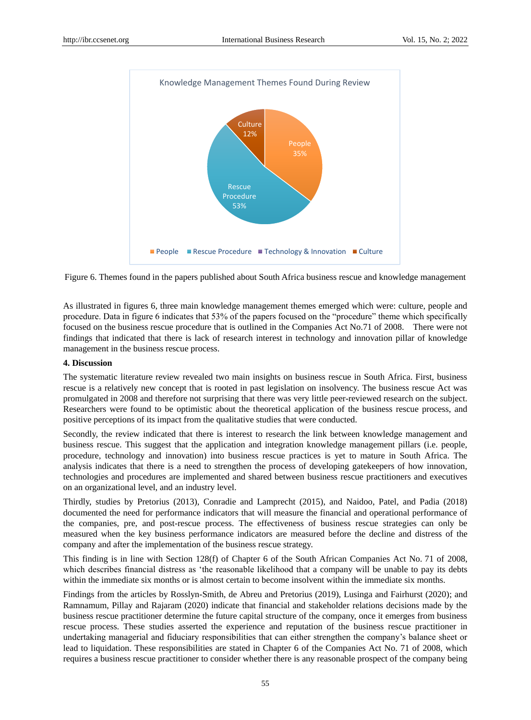

Figure 6. Themes found in the papers published about South Africa business rescue and knowledge management

As illustrated in figures 6, three main knowledge management themes emerged which were: culture, people and procedure. Data in figure 6 indicates that 53% of the papers focused on the "procedure" theme which specifically focused on the business rescue procedure that is outlined in the Companies Act No.71 of 2008. There were not findings that indicated that there is lack of research interest in technology and innovation pillar of knowledge management in the business rescue process.

#### **4. Discussion**

The systematic literature review revealed two main insights on business rescue in South Africa. First, business rescue is a relatively new concept that is rooted in past legislation on insolvency. The business rescue Act was promulgated in 2008 and therefore not surprising that there was very little peer-reviewed research on the subject. Researchers were found to be optimistic about the theoretical application of the business rescue process, and positive perceptions of its impact from the qualitative studies that were conducted.

Secondly, the review indicated that there is interest to research the link between knowledge management and business rescue. This suggest that the application and integration knowledge management pillars (i.e. people, procedure, technology and innovation) into business rescue practices is yet to mature in South Africa. The analysis indicates that there is a need to strengthen the process of developing gatekeepers of how innovation, technologies and procedures are implemented and shared between business rescue practitioners and executives on an organizational level, and an industry level.

Thirdly, studies by Pretorius (2013), Conradie and Lamprecht (2015), and Naidoo, Patel, and Padia (2018) documented the need for performance indicators that will measure the financial and operational performance of the companies, pre, and post-rescue process. The effectiveness of business rescue strategies can only be measured when the key business performance indicators are measured before the decline and distress of the company and after the implementation of the business rescue strategy.

This finding is in line with Section 128(f) of Chapter 6 of the South African Companies Act No. 71 of 2008, which describes financial distress as "the reasonable likelihood that a company will be unable to pay its debts within the immediate six months or is almost certain to become insolvent within the immediate six months.

Findings from the articles by Rosslyn-Smith, de Abreu and Pretorius (2019), Lusinga and Fairhurst (2020); and Ramnamum, Pillay and Rajaram (2020) indicate that financial and stakeholder relations decisions made by the business rescue practitioner determine the future capital structure of the company, once it emerges from business rescue process. These studies asserted the experience and reputation of the business rescue practitioner in undertaking managerial and fiduciary responsibilities that can either strengthen the company"s balance sheet or lead to liquidation. These responsibilities are stated in Chapter 6 of the Companies Act No. 71 of 2008, which requires a business rescue practitioner to consider whether there is any reasonable prospect of the company being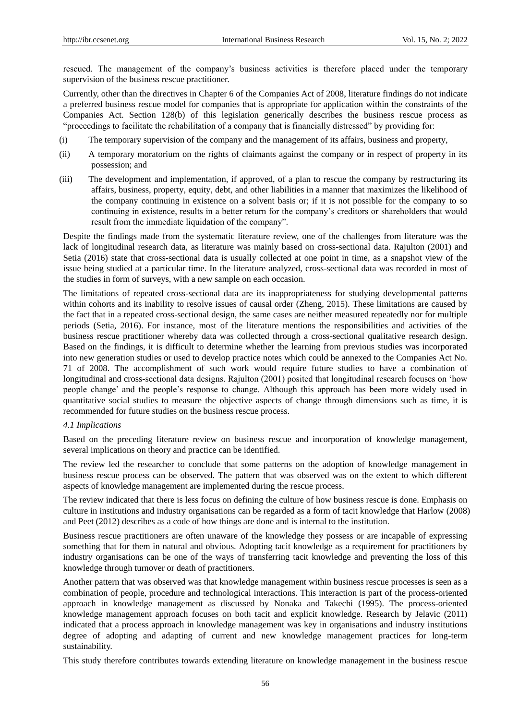rescued. The management of the company"s business activities is therefore placed under the temporary supervision of the business rescue practitioner.

Currently, other than the directives in Chapter 6 of the Companies Act of 2008, literature findings do not indicate a preferred business rescue model for companies that is appropriate for application within the constraints of the Companies Act. Section 128(b) of this legislation generically describes the business rescue process as "proceedings to facilitate the rehabilitation of a company that is financially distressed" by providing for:

- (i) The temporary supervision of the company and the management of its affairs, business and property,
- (ii) A temporary moratorium on the rights of claimants against the company or in respect of property in its possession; and
- (iii) The development and implementation, if approved, of a plan to rescue the company by restructuring its affairs, business, property, equity, debt, and other liabilities in a manner that maximizes the likelihood of the company continuing in existence on a solvent basis or; if it is not possible for the company to so continuing in existence, results in a better return for the company"s creditors or shareholders that would result from the immediate liquidation of the company".

Despite the findings made from the systematic literature review, one of the challenges from literature was the lack of longitudinal research data, as literature was mainly based on cross-sectional data. Rajulton (2001) and Setia (2016) state that cross-sectional data is usually collected at one point in time, as a snapshot view of the issue being studied at a particular time. In the literature analyzed, cross-sectional data was recorded in most of the studies in form of surveys, with a new sample on each occasion.

The limitations of repeated cross-sectional data are its inappropriateness for studying developmental patterns within cohorts and its inability to resolve issues of causal order (Zheng, 2015). These limitations are caused by the fact that in a repeated cross-sectional design, the same cases are neither measured repeatedly nor for multiple periods (Setia, 2016). For instance, most of the literature mentions the responsibilities and activities of the business rescue practitioner whereby data was collected through a cross-sectional qualitative research design. Based on the findings, it is difficult to determine whether the learning from previous studies was incorporated into new generation studies or used to develop practice notes which could be annexed to the Companies Act No. 71 of 2008. The accomplishment of such work would require future studies to have a combination of longitudinal and cross-sectional data designs. Rajulton (2001) posited that longitudinal research focuses on "how people change" and the people"s response to change. Although this approach has been more widely used in quantitative social studies to measure the objective aspects of change through dimensions such as time, it is recommended for future studies on the business rescue process.

## *4.1 Implications*

Based on the preceding literature review on business rescue and incorporation of knowledge management, several implications on theory and practice can be identified.

The review led the researcher to conclude that some patterns on the adoption of knowledge management in business rescue process can be observed. The pattern that was observed was on the extent to which different aspects of knowledge management are implemented during the rescue process.

The review indicated that there is less focus on defining the culture of how business rescue is done. Emphasis on culture in institutions and industry organisations can be regarded as a form of tacit knowledge that Harlow (2008) and Peet (2012) describes as a code of how things are done and is internal to the institution.

Business rescue practitioners are often unaware of the knowledge they possess or are incapable of expressing something that for them in natural and obvious. Adopting tacit knowledge as a requirement for practitioners by industry organisations can be one of the ways of transferring tacit knowledge and preventing the loss of this knowledge through turnover or death of practitioners.

Another pattern that was observed was that knowledge management within business rescue processes is seen as a combination of people, procedure and technological interactions. This interaction is part of the process-oriented approach in knowledge management as discussed by Nonaka and Takechi (1995). The process-oriented knowledge management approach focuses on both tacit and explicit knowledge. Research by Jelavic (2011) indicated that a process approach in knowledge management was key in organisations and industry institutions degree of adopting and adapting of current and new knowledge management practices for long-term sustainability.

This study therefore contributes towards extending literature on knowledge management in the business rescue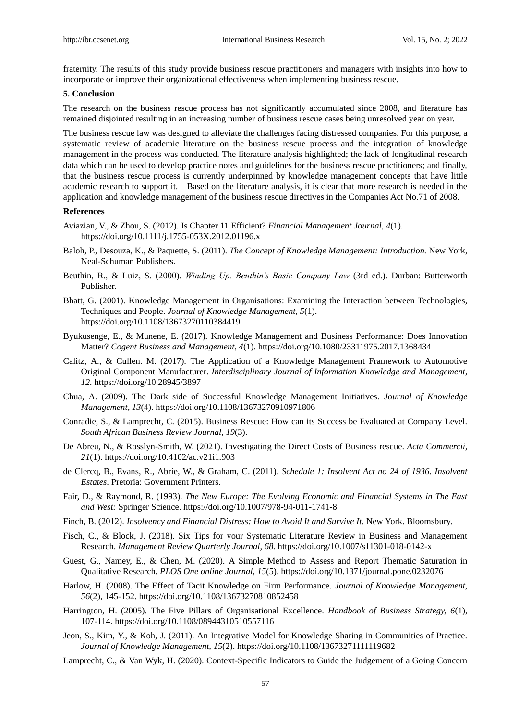fraternity. The results of this study provide business rescue practitioners and managers with insights into how to incorporate or improve their organizational effectiveness when implementing business rescue.

## **5. Conclusion**

The research on the business rescue process has not significantly accumulated since 2008, and literature has remained disjointed resulting in an increasing number of business rescue cases being unresolved year on year.

The business rescue law was designed to alleviate the challenges facing distressed companies. For this purpose, a systematic review of academic literature on the business rescue process and the integration of knowledge management in the process was conducted. The literature analysis highlighted; the lack of longitudinal research data which can be used to develop practice notes and guidelines for the business rescue practitioners; and finally, that the business rescue process is currently underpinned by knowledge management concepts that have little academic research to support it. Based on the literature analysis, it is clear that more research is needed in the application and knowledge management of the business rescue directives in the Companies Act No.71 of 2008.

## **References**

- Aviazian, V., & Zhou, S. (2012). Is Chapter 11 Efficient? *Financial Management Journal, 4*(1). https://doi.org/10.1111/j.1755-053X.2012.01196.x
- Baloh, P., Desouza, K., & Paquette, S. (2011). *The Concept of Knowledge Management: Introduction.* New York, Neal-Schuman Publishers.
- Beuthin, R., & Luiz, S. (2000). *Winding Up. Beuthin's Basic Company Law* (3rd ed.). Durban: Butterworth Publisher.
- Bhatt, G. (2001). Knowledge Management in Organisations: Examining the Interaction between Technologies, Techniques and People. *Journal of Knowledge Management, 5*(1). https://doi.org/10.1108/13673270110384419
- Byukusenge, E., & Munene, E. (2017). Knowledge Management and Business Performance: Does Innovation Matter? *Cogent Business and Management, 4*(1). https://doi.org/10.1080/23311975.2017.1368434
- Calitz, A., & Cullen. M. (2017). The Application of a Knowledge Management Framework to Automotive Original Component Manufacturer. *Interdisciplinary Journal of Information Knowledge and Management, 12.* https://doi.org/10.28945/3897
- Chua, A. (2009). The Dark side of Successful Knowledge Management Initiatives. *Journal of Knowledge Management, 13*(4). https://doi.org/10.1108/13673270910971806
- Conradie, S., & Lamprecht, C. (2015). Business Rescue: How can its Success be Evaluated at Company Level. *South African Business Review Journal, 19*(3).
- De Abreu, N., & Rosslyn-Smith, W. (2021). Investigating the Direct Costs of Business rescue. *Acta Commercii, 21*(1). https://doi.org/10.4102/ac.v21i1.903
- de Clercq, B., Evans, R., Abrie, W., & Graham, C. (2011). *Schedule 1: Insolvent Act no 24 of 1936. Insolvent Estates*. Pretoria: Government Printers.
- Fair, D., & Raymond, R. (1993). *The New Europe: The Evolving Economic and Financial Systems in The East and West:* Springer Science. https://doi.org/10.1007/978-94-011-1741-8
- Finch, B. (2012). *Insolvency and Financial Distress: How to Avoid It and Survive It*. New York. Bloomsbury.
- Fisch, C., & Block, J. (2018). Six Tips for your Systematic Literature Review in Business and Management Research. *Management Review Quarterly Journal, 68.* https://doi.org/10.1007/s11301-018-0142-x
- Guest, G., Namey, E., & Chen, M. (2020). A Simple Method to Assess and Report Thematic Saturation in Qualitative Research*. PLOS One online Journal, 15*(5). https://doi.org/10.1371/journal.pone.0232076
- Harlow, H. (2008). The Effect of Tacit Knowledge on Firm Performance. *Journal of Knowledge Management, 56*(2), 145-152. https://doi.org/10.1108/13673270810852458
- Harrington, H. (2005). The Five Pillars of Organisational Excellence. *Handbook of Business Strategy, 6*(1), 107-114. https://doi.org/10.1108/08944310510557116
- Jeon, S., Kim, Y., & Koh, J. (2011). An Integrative Model for Knowledge Sharing in Communities of Practice. *Journal of Knowledge Management, 15*(2). https://doi.org/10.1108/13673271111119682
- Lamprecht, C., & Van Wyk, H. (2020). Context-Specific Indicators to Guide the Judgement of a Going Concern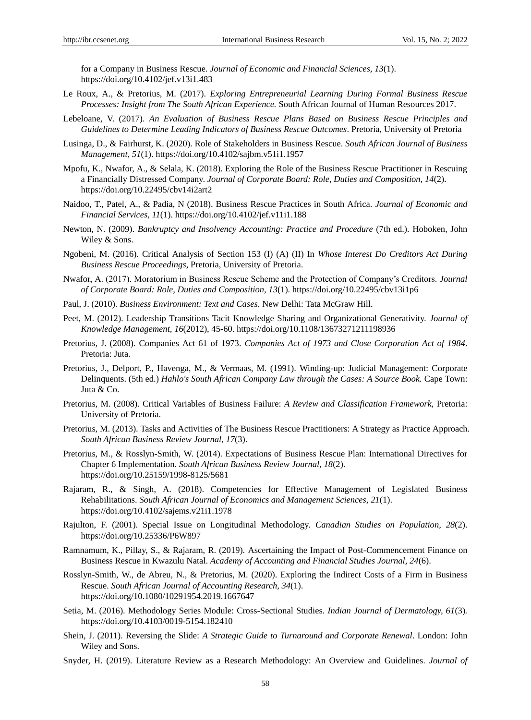for a Company in Business Rescue. *Journal of Economic and Financial Sciences, 13*(1). https://doi.org/10.4102/jef.v13i1.483

- Le Roux, A., & Pretorius, M. (2017). *Exploring Entrepreneurial Learning During Formal Business Rescue Processes: Insight from The South African Experience.* South African Journal of Human Resources 2017.
- Lebeloane, V. (2017). *An Evaluation of Business Rescue Plans Based on Business Rescue Principles and Guidelines to Determine Leading Indicators of Business Rescue Outcomes*. Pretoria, University of Pretoria
- Lusinga, D., & Fairhurst, K. (2020). Role of Stakeholders in Business Rescue. *South African Journal of Business Management*, *51*(1). https://doi.org/10.4102/sajbm.v51i1.1957
- Mpofu, K., Nwafor, A., & Selala, K. (2018). Exploring the Role of the Business Rescue Practitioner in Rescuing a Financially Distressed Company. *Journal of Corporate Board: Role, Duties and Composition, 14*(2). https://doi.org/10.22495/cbv14i2art2
- Naidoo, T., Patel, A., & Padia, N (2018). Business Rescue Practices in South Africa. *Journal of Economic and Financial Services, 11*(1). https://doi.org/10.4102/jef.v11i1.188
- Newton, N. (2009). *Bankruptcy and Insolvency Accounting: Practice and Procedure* (7th ed.). Hoboken, John Wiley & Sons.
- Ngobeni, M. (2016). Critical Analysis of Section 153 (I) (A) (II) In *Whose Interest Do Creditors Act During Business Rescue Proceedings*, Pretoria, University of Pretoria.
- Nwafor, A. (2017). Moratorium in Business Rescue Scheme and the Protection of Company"s Creditors. *Journal of Corporate Board: Role, Duties and Composition*, *13*(1). https://doi.org/10.22495/cbv13i1p6
- Paul, J. (2010). *Business Environment: Text and Cases*. New Delhi: Tata McGraw Hill.
- Peet, M. (2012). Leadership Transitions Tacit Knowledge Sharing and Organizational Generativity. *Journal of Knowledge Management, 16*(2012), 45-60. https://doi.org/10.1108/13673271211198936
- Pretorius, J. (2008). Companies Act 61 of 1973. *Companies Act of 1973 and Close Corporation Act of 1984*. Pretoria: Juta.
- Pretorius, J., Delport, P., Havenga, M., & Vermaas, M. (1991). Winding-up: Judicial Management: Corporate Delinquents. (5th ed.) *Hahlo's South African Company Law through the Cases: A Source Book.* Cape Town: Juta & Co.
- Pretorius, M. (2008). Critical Variables of Business Failure: *A Review and Classification Framework*, Pretoria: University of Pretoria.
- Pretorius, M. (2013). Tasks and Activities of The Business Rescue Practitioners: A Strategy as Practice Approach. *South African Business Review Journal, 17*(3).
- Pretorius, M., & Rosslyn-Smith, W. (2014). Expectations of Business Rescue Plan: International Directives for Chapter 6 Implementation. *South African Business Review Journal, 18*(2). https://doi.org/10.25159/1998-8125/5681
- Rajaram, R., & Singh, A. (2018). Competencies for Effective Management of Legislated Business Rehabilitations. *South African Journal of Economics and Management Sciences, 21*(1). https://doi.org/10.4102/sajems.v21i1.1978
- Rajulton, F. (2001). Special Issue on Longitudinal Methodology. *Canadian Studies on Population, 28*(2). https://doi.org/10.25336/P6W897
- Ramnamum, K., Pillay, S., & Rajaram, R. (2019). Ascertaining the Impact of Post-Commencement Finance on Business Rescue in Kwazulu Natal. *Academy of Accounting and Financial Studies Journal, 24*(6).
- Rosslyn-Smith, W., de Abreu, N., & Pretorius, M. (2020). Exploring the Indirect Costs of a Firm in Business Rescue. *South African Journal of Accounting Research, 34*(1). https://doi.org/10.1080/10291954.2019.1667647
- Setia, M. (2016). Methodology Series Module: Cross-Sectional Studies. *Indian Journal of Dermatology, 61*(3)*.* https://doi.org/10.4103/0019-5154.182410
- Shein, J. (2011). Reversing the Slide: *A Strategic Guide to Turnaround and Corporate Renewal*. London: John Wiley and Sons.
- Snyder, H. (2019). Literature Review as a Research Methodology: An Overview and Guidelines. *Journal of*